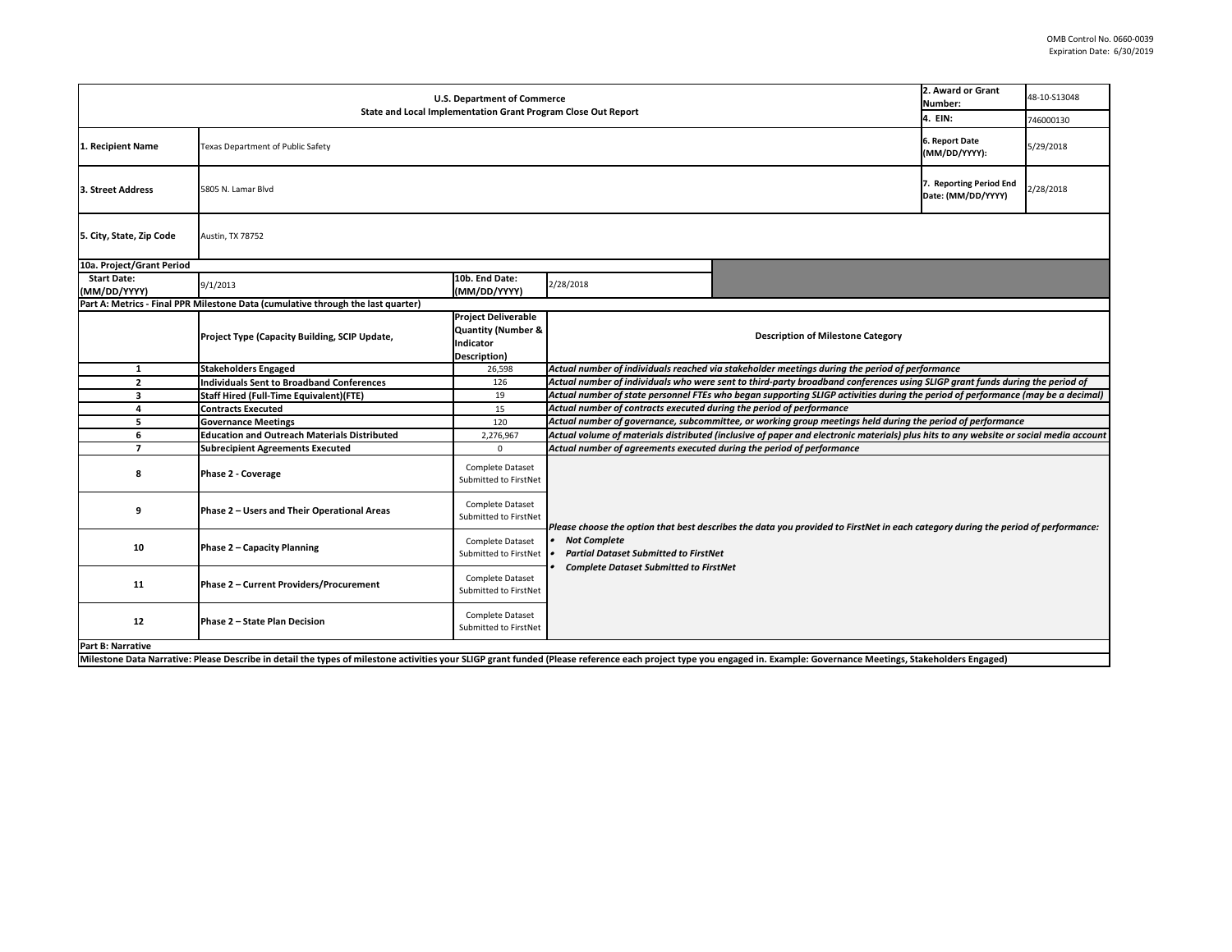| <b>U.S. Department of Commerce</b><br>Number:<br><b>State and Local Implementation Grant Program Close Out Report</b>                                                                                                 |                                                                                  |                                                                                                         |                                                                                                                                   |                                                                                                                                       |                                 | 48-10-S13048 |
|-----------------------------------------------------------------------------------------------------------------------------------------------------------------------------------------------------------------------|----------------------------------------------------------------------------------|---------------------------------------------------------------------------------------------------------|-----------------------------------------------------------------------------------------------------------------------------------|---------------------------------------------------------------------------------------------------------------------------------------|---------------------------------|--------------|
|                                                                                                                                                                                                                       |                                                                                  |                                                                                                         |                                                                                                                                   | 4. EIN:                                                                                                                               | 746000130                       |              |
| 1. Recipient Name                                                                                                                                                                                                     | <b>Texas Department of Public Safety</b>                                         |                                                                                                         |                                                                                                                                   |                                                                                                                                       | 6. Report Date<br>(MM/DD/YYYY): | 5/29/2018    |
| 3. Street Address                                                                                                                                                                                                     | 7. Reporting Period End<br>2/28/2018<br>5805 N. Lamar Blvd<br>Date: (MM/DD/YYYY) |                                                                                                         |                                                                                                                                   |                                                                                                                                       |                                 |              |
| 5. City, State, Zip Code                                                                                                                                                                                              | Austin, TX 78752                                                                 |                                                                                                         |                                                                                                                                   |                                                                                                                                       |                                 |              |
| 10a. Project/Grant Period                                                                                                                                                                                             |                                                                                  |                                                                                                         |                                                                                                                                   |                                                                                                                                       |                                 |              |
| <b>Start Date:</b><br>(MM/DD/YYYY)                                                                                                                                                                                    | 9/1/2013                                                                         | 10b. End Date:<br>(MM/DD/YYYY)                                                                          | 2/28/2018                                                                                                                         |                                                                                                                                       |                                 |              |
|                                                                                                                                                                                                                       | Part A: Metrics - Final PPR Milestone Data (cumulative through the last quarter) |                                                                                                         |                                                                                                                                   |                                                                                                                                       |                                 |              |
|                                                                                                                                                                                                                       | Project Type (Capacity Building, SCIP Update,                                    | <b>Project Deliverable</b><br><b>Quantity (Number &amp;</b><br><b>Indicator</b><br><b>Description</b> ) |                                                                                                                                   | <b>Description of Milestone Category</b>                                                                                              |                                 |              |
| $\mathbf{1}$                                                                                                                                                                                                          | <b>Stakeholders Engaged</b>                                                      | 26,598                                                                                                  |                                                                                                                                   | Actual number of individuals reached via stakeholder meetings during the period of performance                                        |                                 |              |
| $\overline{2}$                                                                                                                                                                                                        | <b>Individuals Sent to Broadband Conferences</b>                                 | 126                                                                                                     |                                                                                                                                   | Actual number of individuals who were sent to third-party broadband conferences using SLIGP grant funds during the period of          |                                 |              |
| $\mathbf{3}$                                                                                                                                                                                                          | <b>Staff Hired (Full-Time Equivalent)(FTE)</b>                                   | 19                                                                                                      |                                                                                                                                   | Actual number of state personnel FTEs who began supporting SLIGP activities during the period of performance (may be a decimal)       |                                 |              |
| 4                                                                                                                                                                                                                     | <b>Contracts Executed</b>                                                        | 15                                                                                                      | Actual number of contracts executed during the period of performance                                                              |                                                                                                                                       |                                 |              |
| 5                                                                                                                                                                                                                     | <b>Governance Meetings</b>                                                       | 120                                                                                                     |                                                                                                                                   | Actual number of governance, subcommittee, or working group meetings held during the period of performance                            |                                 |              |
| 6                                                                                                                                                                                                                     | <b>Education and Outreach Materials Distributed</b>                              | 2,276,967                                                                                               |                                                                                                                                   | Actual volume of materials distributed (inclusive of paper and electronic materials) plus hits to any website or social media account |                                 |              |
| 7                                                                                                                                                                                                                     | <b>Subrecipient Agreements Executed</b>                                          | $\Omega$                                                                                                | Actual number of agreements executed during the period of performance                                                             |                                                                                                                                       |                                 |              |
| 8                                                                                                                                                                                                                     | <b>Phase 2 - Coverage</b>                                                        | Complete Dataset<br>Submitted to FirstNet                                                               |                                                                                                                                   |                                                                                                                                       |                                 |              |
| 9                                                                                                                                                                                                                     | Phase 2 - Users and Their Operational Areas                                      | Complete Dataset<br>Submitted to FirstNet                                                               | Please choose the option that best describes the data you provided to FirstNet in each category during the period of performance: |                                                                                                                                       |                                 |              |
| 10                                                                                                                                                                                                                    | Phase 2 - Capacity Planning                                                      | Complete Dataset<br>Submitted to FirstNet                                                               | <b>Not Complete</b><br><b>Partial Dataset Submitted to FirstNet</b>                                                               |                                                                                                                                       |                                 |              |
| 11                                                                                                                                                                                                                    | <b>Phase 2 - Current Providers/Procurement</b>                                   | Complete Dataset<br>Submitted to FirstNet                                                               | <b>Complete Dataset Submitted to FirstNet</b>                                                                                     |                                                                                                                                       |                                 |              |
| 12                                                                                                                                                                                                                    | <b>Phase 2 - State Plan Decision</b>                                             | Complete Dataset<br>Submitted to FirstNet                                                               |                                                                                                                                   |                                                                                                                                       |                                 |              |
| <b>Part B: Narrative</b>                                                                                                                                                                                              |                                                                                  |                                                                                                         |                                                                                                                                   |                                                                                                                                       |                                 |              |
| Milestone Data Narrative: Please Describe in detail the types of milestone activities your SLIGP grant funded (Please reference each project type you engaged in. Example: Governance Meetings, Stakeholders Engaged) |                                                                                  |                                                                                                         |                                                                                                                                   |                                                                                                                                       |                                 |              |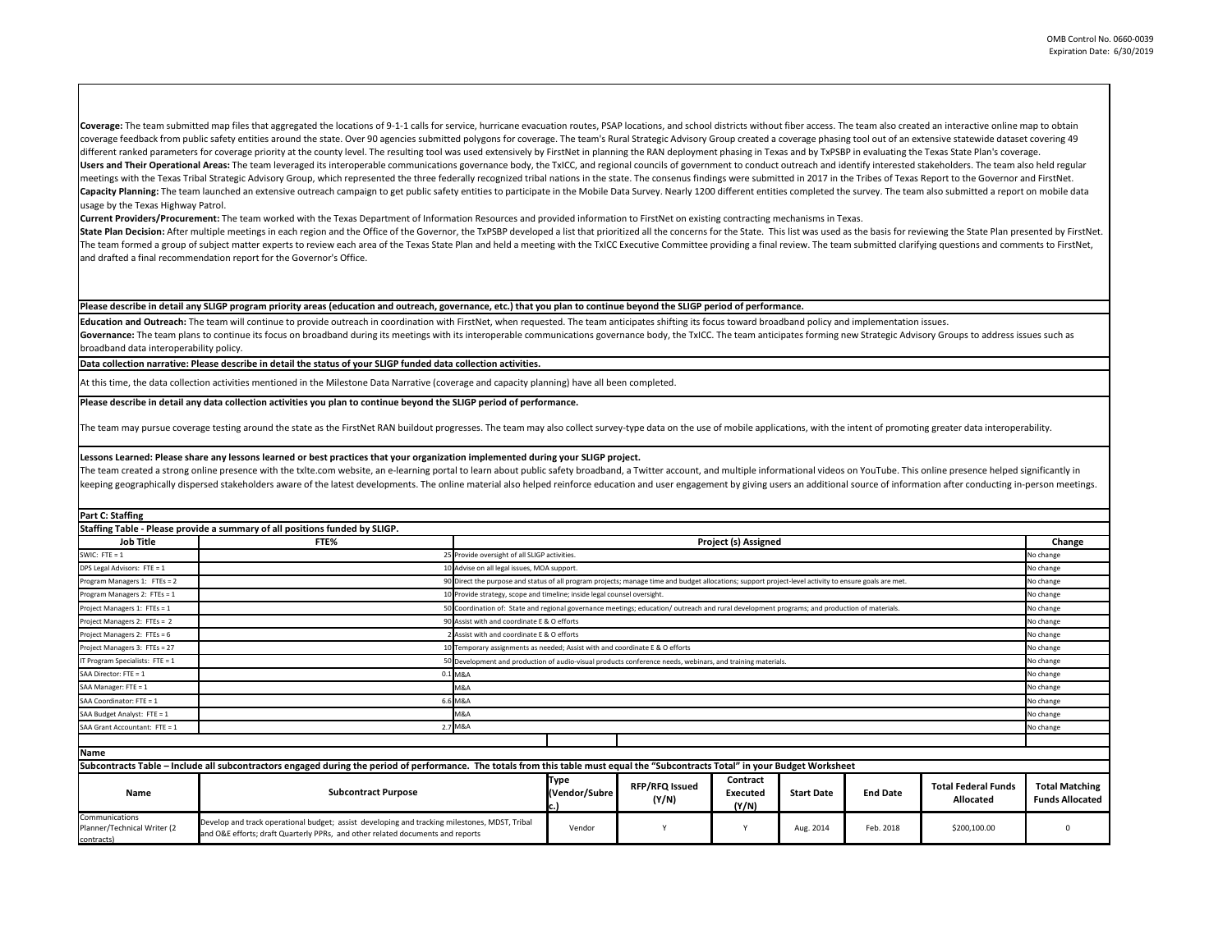**Lessons Learned: Please share any lessons learned or best practices that your organization implemented during your SLIGP project.**  The team created a strong online presence with the txlte.com website, an e-learning portal to learn about public safety broadband, a Twitter account, and multiple informational videos on YouTube. This online presence helpe keeping geographically dispersed stakeholders aware of the latest developments. The online material also helped reinforce education and user engagement by giving users an additional source of information after conducting i

Coverage: The team submitted map files that aggregated the locations of 9-1-1 calls for service, hurricane evacuation routes, PSAP locations, and school districts without fiber access. The team also created an interactive coverage feedback from public safety entities around the state. Over 90 agencies submitted polygons for coverage. The team's Rural Strategic Advisory Group created a coverage phasing tool out of an extensive statewide data different ranked parameters for coverage priority at the county level. The resulting tool was used extensively by FirstNet in planning the RAN deployment phasing in Texas and by TxPSBP in evaluating the Texas State Plan's Users and Their Operational Areas: The team leveraged its interoperable communications governance body, the TxICC, and regional councils of government to conduct outreach and identify interested stakeholders. The team also meetings with the Texas Tribal Strategic Advisory Group, which represented the three federally recognized tribal nations in the state. The consenus findings were submitted in 2017 in the Tribes of Texas Report to the Gover Capacity Planning: The team launched an extensive outreach campaign to get public safety entities to participate in the Mobile Data Survey. Nearly 1200 different entities completed the survey. The team also submitted a rep usage by the Texas Highway Patrol.

**Part C: Staffing**

## **Please describe in detail any SLIGP program priority areas (education and outreach, governance, etc.) that you plan to continue beyond the SLIGP period of performance.**

Education and Outreach: The team will continue to provide outreach in coordination with FirstNet, when requested. The team anticipates shifting its focus toward broadband policy and implementation issues. Governance: The team plans to continue its focus on broadband during its meetings with its interoperable communications governance body, the TxICC. The team anticipates forming new Strategic Advisory Groups to address issu broadband data interoperability policy.

| Staffing Table - Please provide a summary of all positions funded by SLIGP. |             |                                                                                                                                                       |           |  |  |
|-----------------------------------------------------------------------------|-------------|-------------------------------------------------------------------------------------------------------------------------------------------------------|-----------|--|--|
| <b>Job Title</b>                                                            | <b>FTE%</b> | <b>Project (s) Assigned</b>                                                                                                                           |           |  |  |
| SWIC: $FTE = 1$                                                             |             | 25 Provide oversight of all SLIGP activities.                                                                                                         | No change |  |  |
| <b>DPS Legal Advisors: FTE = 1</b>                                          |             | .0 Advise on all legal issues, MOA support.                                                                                                           | No change |  |  |
| Program Managers 1: FTEs = 2                                                |             | 90 Direct the purpose and status of all program projects; manage time and budget allocations; support project-level activity to ensure goals are met. | No change |  |  |
| Program Managers 2: FTEs = 1                                                |             | 10 Provide strategy, scope and timeline; inside legal counsel oversight.                                                                              | No change |  |  |
| Project Managers 1: FTEs = 1                                                |             | 50 Coordination of: State and regional governance meetings; education/outreach and rural development programs; and production of materials.           | No change |  |  |
| Project Managers 2: FTEs = 2                                                |             | 90 Assist with and coordinate E & O efforts<br>No change                                                                                              |           |  |  |
| Project Managers 2: FTEs = 6                                                |             | 2 Assist with and coordinate E & O efforts<br>No change                                                                                               |           |  |  |
| Project Managers 3: FTEs = 27                                               |             | No change<br>10 Temporary assignments as needed; Assist with and coordinate E & O efforts                                                             |           |  |  |
| IT Program Specialists: $FTE = 1$                                           |             | 50 Development and production of audio-visual products conference needs, webinars, and training materials.<br>No change                               |           |  |  |
| SAA Director: FTE = 1                                                       | 0.1 M&A     | No change                                                                                                                                             |           |  |  |
| SAA Manager: FTE = 1                                                        |             | M&A<br>No change                                                                                                                                      |           |  |  |
| SAA Coordinator: FTE = 1                                                    | 6.6 M&A     | No change                                                                                                                                             |           |  |  |
| SAA Budget Analyst: FTE = 1                                                 |             | M&A<br>No change                                                                                                                                      |           |  |  |
| SAA Grant Accountant: FTE = 1                                               |             | 2.7 M&A                                                                                                                                               | No change |  |  |
|                                                                             |             |                                                                                                                                                       |           |  |  |
| IN AMA                                                                      |             |                                                                                                                                                       |           |  |  |

| Subcontracts Table – Include all subcontractors engaged during the period of performance. The totals from this table must equal the "Subcontracts Total" in your Budget Worksheet |                                                                                                                                                                                 |                              |                                |                                      |                   |                 |                                                |                                                 |
|-----------------------------------------------------------------------------------------------------------------------------------------------------------------------------------|---------------------------------------------------------------------------------------------------------------------------------------------------------------------------------|------------------------------|--------------------------------|--------------------------------------|-------------------|-----------------|------------------------------------------------|-------------------------------------------------|
| Name                                                                                                                                                                              | <b>Subcontract Purpose</b>                                                                                                                                                      | <b>Type</b><br>(Vendor/Subre | <b>RFP/RFQ Issued</b><br>(Y/N) | <b>Contract</b><br>Executed<br>(Y/N) | <b>Start Date</b> | <b>End Date</b> | <b>Total Federal Funds</b><br><b>Allocated</b> | <b>Total Matching</b><br><b>Funds Allocated</b> |
| Communications<br>Planner/Technical Writer (2<br>contracts)                                                                                                                       | Develop and track operational budget; assist developing and tracking milestones, MDST, Tribal<br>and O&E efforts; draft Quarterly PPRs, and other related documents and reports | Vendor                       |                                |                                      | Aug. 2014         | Feb. 2018       | \$200,100.00                                   |                                                 |

**Current Providers/Procurement:** The team worked with the Texas Department of Information Resources and provided information to FirstNet on existing contracting mechanisms in Texas. State Plan Decision: After multiple meetings in each region and the Office of the Governor, the TxPSBP developed a list that prioritized all the concerns for the State. This list was used as the basis for reviewing the Sta The team formed a group of subject matter experts to review each area of the Texas State Plan and held a meeting with the TxICC Executive Committee providing a final review. The team submitted clarifying questions and comm and drafted a final recommendation report for the Governor's Office.

**Please describe in detail any data collection activities you plan to continue beyond the SLIGP period of performance.**

The team may pursue coverage testing around the state as the FirstNet RAN buildout progresses. The team may also collect survey-type data on the use of mobile applications, with the intent of promoting greater data interop

At this time, the data collection activities mentioned in the Milestone Data Narrative (coverage and capacity planning) have all been completed.

**Data collection narrative: Please describe in detail the status of your SLIGP funded data collection activities.** 

**Name**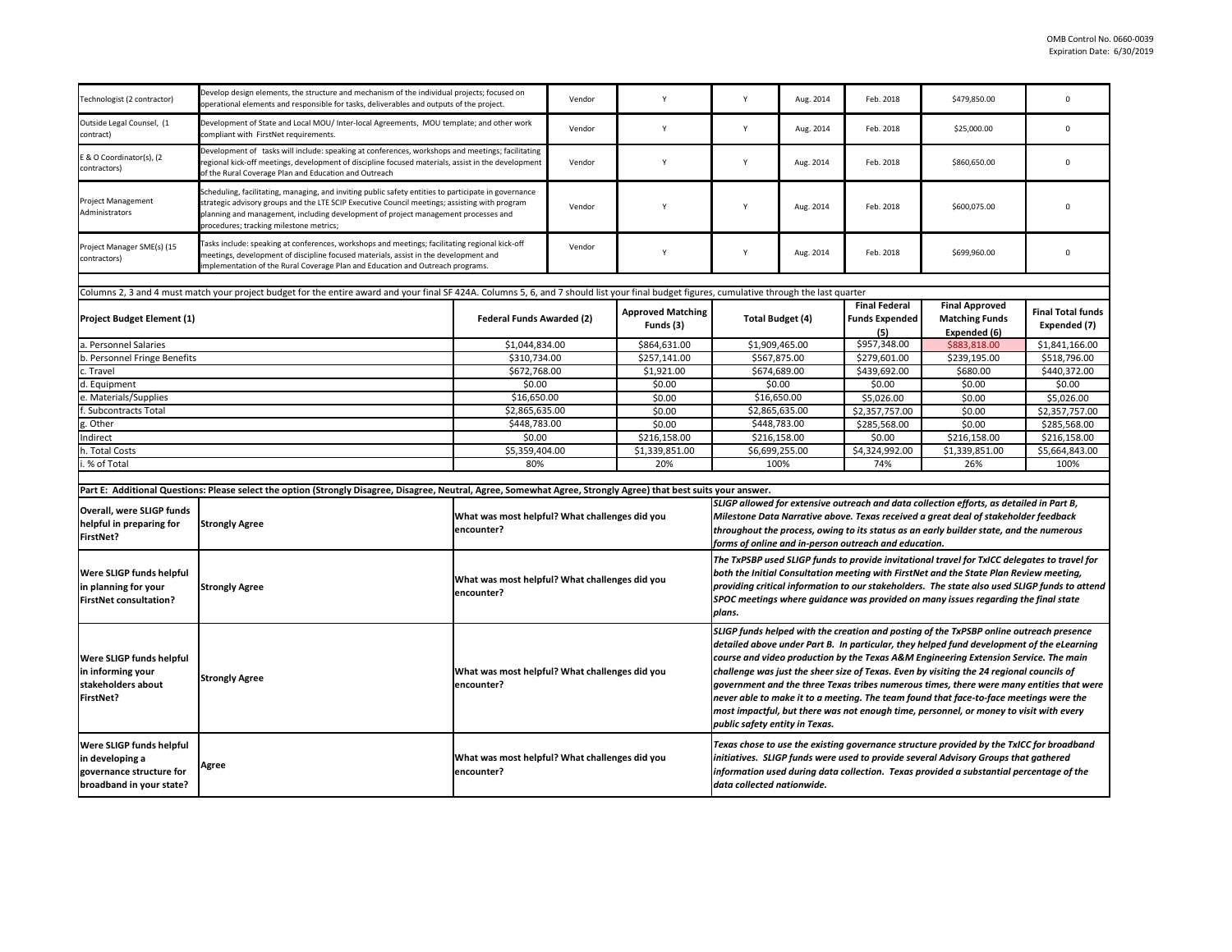| Technologist (2 contractor)                                                                                | Develop design elements, the structure and mechanism of the individual projects; focused on<br>operational elements and responsible for tasks, deliverables and outputs of the project.                                                                                                                                                |                                                              | Vendor                                                                                                                                                                                                                                                                                                                              | Y                                     |                                                                                                                                                                                                                                                                                                                                                                                                                                                                                                                                                                                                                                                                                            | Aug. 2014    | Feb. 2018                                            | \$479,850.00                                                                                                                                                                                                                                                               |                                          |
|------------------------------------------------------------------------------------------------------------|----------------------------------------------------------------------------------------------------------------------------------------------------------------------------------------------------------------------------------------------------------------------------------------------------------------------------------------|--------------------------------------------------------------|-------------------------------------------------------------------------------------------------------------------------------------------------------------------------------------------------------------------------------------------------------------------------------------------------------------------------------------|---------------------------------------|--------------------------------------------------------------------------------------------------------------------------------------------------------------------------------------------------------------------------------------------------------------------------------------------------------------------------------------------------------------------------------------------------------------------------------------------------------------------------------------------------------------------------------------------------------------------------------------------------------------------------------------------------------------------------------------------|--------------|------------------------------------------------------|----------------------------------------------------------------------------------------------------------------------------------------------------------------------------------------------------------------------------------------------------------------------------|------------------------------------------|
| Outside Legal Counsel, (1<br>contract)                                                                     | Development of State and Local MOU/ Inter-local Agreements, MOU template; and other work<br>compliant with FirstNet requirements.                                                                                                                                                                                                      |                                                              | Vendor                                                                                                                                                                                                                                                                                                                              | Y                                     |                                                                                                                                                                                                                                                                                                                                                                                                                                                                                                                                                                                                                                                                                            | Aug. 2014    | Feb. 2018                                            | \$25,000.00                                                                                                                                                                                                                                                                |                                          |
| E & O Coordinator(s), (2<br>contractors)                                                                   | Development of tasks will include: speaking at conferences, workshops and meetings; facilitating<br>regional kick-off meetings, development of discipline focused materials, assist in the development<br>of the Rural Coverage Plan and Education and Outreach                                                                        |                                                              | Vendor                                                                                                                                                                                                                                                                                                                              | Y                                     |                                                                                                                                                                                                                                                                                                                                                                                                                                                                                                                                                                                                                                                                                            | Aug. 2014    | Feb. 2018                                            | \$860,650.00                                                                                                                                                                                                                                                               |                                          |
| Project Management<br>Administrators                                                                       | Scheduling, facilitating, managing, and inviting public safety entities to participate in governance<br>strategic advisory groups and the LTE SCIP Executive Council meetings; assisting with program<br>planning and management, including development of project management processes and<br>procedures; tracking milestone metrics; |                                                              | Vendor                                                                                                                                                                                                                                                                                                                              | Y                                     |                                                                                                                                                                                                                                                                                                                                                                                                                                                                                                                                                                                                                                                                                            | Aug. 2014    | Feb. 2018                                            | \$600,075.00                                                                                                                                                                                                                                                               |                                          |
| Project Manager SME(s) (15<br>contractors)                                                                 | Tasks include: speaking at conferences, workshops and meetings; facilitating regional kick-off<br>meetings, development of discipline focused materials, assist in the development and<br>implementation of the Rural Coverage Plan and Education and Outreach programs.                                                               |                                                              | Vendor                                                                                                                                                                                                                                                                                                                              | Y                                     |                                                                                                                                                                                                                                                                                                                                                                                                                                                                                                                                                                                                                                                                                            | Aug. 2014    | Feb. 2018                                            | \$699,960.00                                                                                                                                                                                                                                                               |                                          |
|                                                                                                            |                                                                                                                                                                                                                                                                                                                                        |                                                              |                                                                                                                                                                                                                                                                                                                                     |                                       |                                                                                                                                                                                                                                                                                                                                                                                                                                                                                                                                                                                                                                                                                            |              |                                                      |                                                                                                                                                                                                                                                                            |                                          |
|                                                                                                            | Columns 2, 3 and 4 must match your project budget for the entire award and your final SF 424A. Columns 5, 6, and 7 should list your final budget figures, cumulative through the last quarter                                                                                                                                          |                                                              |                                                                                                                                                                                                                                                                                                                                     |                                       |                                                                                                                                                                                                                                                                                                                                                                                                                                                                                                                                                                                                                                                                                            |              |                                                      |                                                                                                                                                                                                                                                                            |                                          |
| <b>Project Budget Element (1)</b>                                                                          |                                                                                                                                                                                                                                                                                                                                        | <b>Federal Funds Awarded (2)</b>                             |                                                                                                                                                                                                                                                                                                                                     | <b>Approved Matching</b><br>Funds (3) | Total Budget (4)                                                                                                                                                                                                                                                                                                                                                                                                                                                                                                                                                                                                                                                                           |              | <b>Final Federal</b><br><b>Funds Expended</b><br>(5) | <b>Final Approved</b><br><b>Matching Funds</b><br>Expended (6)                                                                                                                                                                                                             | <b>Final Total funds</b><br>Expended (7) |
| a. Personnel Salaries                                                                                      |                                                                                                                                                                                                                                                                                                                                        | \$1,044,834.00                                               |                                                                                                                                                                                                                                                                                                                                     | \$864,631.00                          | \$1,909,465.00                                                                                                                                                                                                                                                                                                                                                                                                                                                                                                                                                                                                                                                                             |              | \$957,348.00                                         | \$883,818.00                                                                                                                                                                                                                                                               | \$1,841,166.00                           |
| b. Personnel Fringe Benefits                                                                               |                                                                                                                                                                                                                                                                                                                                        | \$310,734.00                                                 |                                                                                                                                                                                                                                                                                                                                     | \$257,141.00                          | \$567,875.00                                                                                                                                                                                                                                                                                                                                                                                                                                                                                                                                                                                                                                                                               |              | \$279,601.00                                         | \$239,195.00                                                                                                                                                                                                                                                               | \$518,796.00                             |
| c. Travel                                                                                                  |                                                                                                                                                                                                                                                                                                                                        | \$672,768.00                                                 |                                                                                                                                                                                                                                                                                                                                     | \$1,921.00                            | \$674,689.00                                                                                                                                                                                                                                                                                                                                                                                                                                                                                                                                                                                                                                                                               |              | \$439,692.00                                         | \$680.00                                                                                                                                                                                                                                                                   | \$440,372.00                             |
| d. Equipment                                                                                               |                                                                                                                                                                                                                                                                                                                                        | \$0.00                                                       |                                                                                                                                                                                                                                                                                                                                     | \$0.00                                | \$0.00                                                                                                                                                                                                                                                                                                                                                                                                                                                                                                                                                                                                                                                                                     |              | \$0.00                                               | \$0.00                                                                                                                                                                                                                                                                     | \$0.00                                   |
| e. Materials/Supplies                                                                                      |                                                                                                                                                                                                                                                                                                                                        | \$16,650.00                                                  |                                                                                                                                                                                                                                                                                                                                     | \$0.00                                | \$16,650.00                                                                                                                                                                                                                                                                                                                                                                                                                                                                                                                                                                                                                                                                                |              | \$5,026.00                                           | \$0.00                                                                                                                                                                                                                                                                     | \$5,026.00                               |
| f. Subcontracts Total                                                                                      |                                                                                                                                                                                                                                                                                                                                        | \$2,865,635.00                                               |                                                                                                                                                                                                                                                                                                                                     | \$0.00                                | \$2,865,635.00                                                                                                                                                                                                                                                                                                                                                                                                                                                                                                                                                                                                                                                                             |              | \$2,357,757.00                                       | \$0.00                                                                                                                                                                                                                                                                     | \$2,357,757.00                           |
| g. Other                                                                                                   |                                                                                                                                                                                                                                                                                                                                        | \$448,783.00                                                 |                                                                                                                                                                                                                                                                                                                                     | \$0.00                                | \$448,783.00                                                                                                                                                                                                                                                                                                                                                                                                                                                                                                                                                                                                                                                                               |              | \$285,568.00                                         | \$0.00                                                                                                                                                                                                                                                                     | \$285,568.00                             |
| Indirect                                                                                                   |                                                                                                                                                                                                                                                                                                                                        | \$0.00                                                       |                                                                                                                                                                                                                                                                                                                                     | \$216,158.00                          |                                                                                                                                                                                                                                                                                                                                                                                                                                                                                                                                                                                                                                                                                            | \$216,158.00 | \$0.00                                               | \$216,158.00                                                                                                                                                                                                                                                               | \$216,158.00                             |
| h. Total Costs                                                                                             |                                                                                                                                                                                                                                                                                                                                        | \$5,359,404.00                                               |                                                                                                                                                                                                                                                                                                                                     | \$1,339,851.00                        | \$6,699,255.00                                                                                                                                                                                                                                                                                                                                                                                                                                                                                                                                                                                                                                                                             |              | \$4,324,992.00                                       | \$1,339,851.00                                                                                                                                                                                                                                                             | \$5,664,843.00                           |
| i. % of Total                                                                                              |                                                                                                                                                                                                                                                                                                                                        | 80%                                                          |                                                                                                                                                                                                                                                                                                                                     | 20%                                   |                                                                                                                                                                                                                                                                                                                                                                                                                                                                                                                                                                                                                                                                                            | 100%         | 74%                                                  | 26%                                                                                                                                                                                                                                                                        | 100%                                     |
|                                                                                                            |                                                                                                                                                                                                                                                                                                                                        |                                                              |                                                                                                                                                                                                                                                                                                                                     |                                       |                                                                                                                                                                                                                                                                                                                                                                                                                                                                                                                                                                                                                                                                                            |              |                                                      |                                                                                                                                                                                                                                                                            |                                          |
|                                                                                                            | Part E: Additional Questions: Please select the option (Strongly Disagree, Disagree, Neutral, Agree, Somewhat Agree, Strongly Agree) that best suits your answer.                                                                                                                                                                      |                                                              |                                                                                                                                                                                                                                                                                                                                     |                                       |                                                                                                                                                                                                                                                                                                                                                                                                                                                                                                                                                                                                                                                                                            |              |                                                      |                                                                                                                                                                                                                                                                            |                                          |
| <b>Overall, were SLIGP funds</b><br>helpful in preparing for<br><b>Strongly Agree</b><br>FirstNet?         |                                                                                                                                                                                                                                                                                                                                        | What was most helpful? What challenges did you<br>encounter? | SLIGP allowed for extensive outreach and data collection efforts, as detailed in Part B,<br>Milestone Data Narrative above. Texas received a great deal of stakeholder feedback<br>throughout the process, owing to its status as an early builder state, and the numerous<br>forms of online and in-person outreach and education. |                                       |                                                                                                                                                                                                                                                                                                                                                                                                                                                                                                                                                                                                                                                                                            |              |                                                      |                                                                                                                                                                                                                                                                            |                                          |
| <b>Were SLIGP funds helpful</b><br>in planning for your<br><b>FirstNet consultation?</b>                   | <b>Strongly Agree</b>                                                                                                                                                                                                                                                                                                                  | What was most helpful? What challenges did you<br>encounter? |                                                                                                                                                                                                                                                                                                                                     |                                       | The TxPSBP used SLIGP funds to provide invitational travel for TxICC delegates to travel for<br>both the Initial Consultation meeting with FirstNet and the State Plan Review meeting,<br>providing critical information to our stakeholders. The state also used SLIGP funds to attend<br>SPOC meetings where guidance was provided on many issues regarding the final state<br>plans.                                                                                                                                                                                                                                                                                                    |              |                                                      |                                                                                                                                                                                                                                                                            |                                          |
| <b>Were SLIGP funds helpful</b><br>in informing your<br>stakeholders about<br>FirstNet?                    | <b>Strongly Agree</b>                                                                                                                                                                                                                                                                                                                  | What was most helpful? What challenges did you<br>encounter? |                                                                                                                                                                                                                                                                                                                                     |                                       | SLIGP funds helped with the creation and posting of the TxPSBP online outreach presence<br>detailed above under Part B. In particular, they helped fund development of the eLearning<br>course and video production by the Texas A&M Engineering Extension Service. The main<br>challenge was just the sheer size of Texas. Even by visiting the 24 regional councils of<br>government and the three Texas tribes numerous times, there were many entities that were<br>never able to make it to a meeting. The team found that face-to-face meetings were the<br>most impactful, but there was not enough time, personnel, or money to visit with every<br>public safety entity in Texas. |              |                                                      |                                                                                                                                                                                                                                                                            |                                          |
| <b>Were SLIGP funds helpful</b><br>in developing a<br>governance structure for<br>broadband in your state? | Agree                                                                                                                                                                                                                                                                                                                                  | What was most helpful? What challenges did you<br>encounter? |                                                                                                                                                                                                                                                                                                                                     |                                       | data collected nationwide.                                                                                                                                                                                                                                                                                                                                                                                                                                                                                                                                                                                                                                                                 |              |                                                      | Texas chose to use the existing governance structure provided by the TxICC for broadband<br>initiatives. SLIGP funds were used to provide several Advisory Groups that gathered<br>information used during data collection. Texas provided a substantial percentage of the |                                          |